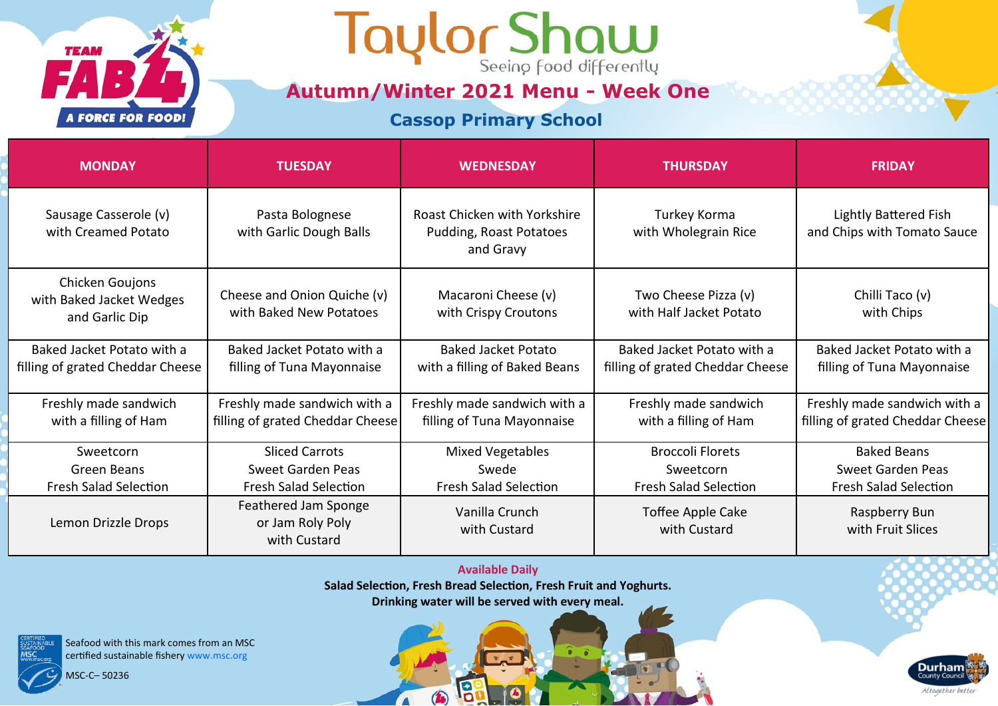### Taylor Shaw

**Autumn/Winter 2021 Menu - Week One**

### **Cassop Primary School**

| <b>MONDAY</b>                                                  | <b>TUESDAY</b>                                                   | <b>WEDNESDAY</b>                                                            | <b>THURSDAY</b>                                                | <b>FRIDAY</b>                                                    |
|----------------------------------------------------------------|------------------------------------------------------------------|-----------------------------------------------------------------------------|----------------------------------------------------------------|------------------------------------------------------------------|
| Sausage Casserole (v)<br>with Creamed Potato                   | Pasta Bolognese<br>with Garlic Dough Balls                       | <b>Roast Chicken with Yorkshire</b><br>Pudding, Roast Potatoes<br>and Gravy | Turkey Korma<br>with Wholegrain Rice                           | <b>Lightly Battered Fish</b><br>and Chips with Tomato Sauce      |
| Chicken Goujons<br>with Baked Jacket Wedges<br>and Garlic Dip  | Cheese and Onion Quiche (v)<br>with Baked New Potatoes           | Macaroni Cheese (v)<br>with Crispy Croutons                                 | Two Cheese Pizza (v)<br>with Half Jacket Potato                | Chilli Taco (v)<br>with Chips                                    |
| Baked Jacket Potato with a<br>filling of grated Cheddar Cheese | Baked Jacket Potato with a<br>filling of Tuna Mayonnaise         | <b>Baked Jacket Potato</b><br>with a filling of Baked Beans                 | Baked Jacket Potato with a<br>filling of grated Cheddar Cheese | Baked Jacket Potato with a<br>filling of Tuna Mayonnaise         |
| Freshly made sandwich<br>with a filling of Ham                 | Freshly made sandwich with a<br>filling of grated Cheddar Cheese | Freshly made sandwich with a<br>filling of Tuna Mayonnaise                  | Freshly made sandwich<br>with a filling of Ham                 | Freshly made sandwich with a<br>filling of grated Cheddar Cheese |
| Sweetcorn                                                      | <b>Sliced Carrots</b>                                            | <b>Mixed Vegetables</b>                                                     | <b>Broccoli Florets</b>                                        | <b>Baked Beans</b>                                               |
| Green Beans                                                    | Sweet Garden Peas                                                | Swede                                                                       | Sweetcorn                                                      | Sweet Garden Peas                                                |
| <b>Fresh Salad Selection</b>                                   | <b>Fresh Salad Selection</b>                                     | <b>Fresh Salad Selection</b>                                                | <b>Fresh Salad Selection</b>                                   | <b>Fresh Salad Selection</b>                                     |
| Lemon Drizzle Drops                                            | Feathered Jam Sponge<br>or Jam Roly Poly<br>with Custard         | Vanilla Crunch<br>with Custard                                              | Toffee Apple Cake<br>with Custard                              | Raspberry Bun<br>with Fruit Slices                               |

**Available Daily Salad Selection, Fresh Bread Selection, Fresh Fruit and Yoghurts. Drinking water will be served with every meal.** 

19

 $\bigcirc$ 

 $\sqrt{2}$ 

Seafood with this mark comes from an MSC certified sustainable fishery www.msc.org

MSC-C– 50236

**TEAM** 

**A FORCE FOR FOOD!** 

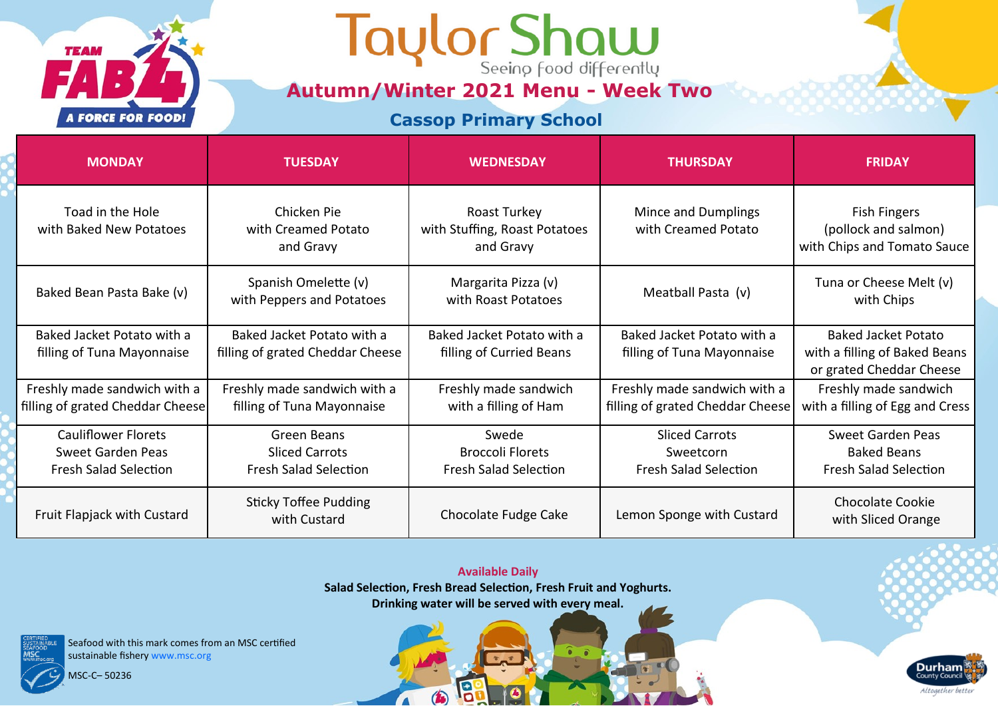## Taylor Shaw

**Autumn/Winter 2021 Menu - Week Two**

### **Cassop Primary School**

| <b>MONDAY</b>                                                                   | <b>TUESDAY</b>                                                       | <b>WEDNESDAY</b>                                                 | <b>THURSDAY</b>                                                    | <b>FRIDAY</b>                                                                           |
|---------------------------------------------------------------------------------|----------------------------------------------------------------------|------------------------------------------------------------------|--------------------------------------------------------------------|-----------------------------------------------------------------------------------------|
| Toad in the Hole<br>with Baked New Potatoes                                     | Chicken Pie<br>with Creamed Potato<br>and Gravy                      | Roast Turkey<br>with Stuffing, Roast Potatoes<br>and Gravy       | Mince and Dumplings<br>with Creamed Potato                         | Fish Fingers<br>(pollock and salmon)<br>with Chips and Tomato Sauce                     |
| Baked Bean Pasta Bake (v)                                                       | Spanish Omelette (v)<br>with Peppers and Potatoes                    | Margarita Pizza (v)<br>with Roast Potatoes                       | Meatball Pasta (v)                                                 | Tuna or Cheese Melt (v)<br>with Chips                                                   |
| Baked Jacket Potato with a<br>filling of Tuna Mayonnaise                        | Baked Jacket Potato with a<br>filling of grated Cheddar Cheese       | Baked Jacket Potato with a<br>filling of Curried Beans           | Baked Jacket Potato with a<br>filling of Tuna Mayonnaise           | <b>Baked Jacket Potato</b><br>with a filling of Baked Beans<br>or grated Cheddar Cheese |
| Freshly made sandwich with a<br>filling of grated Cheddar Cheese                | Freshly made sandwich with a<br>filling of Tuna Mayonnaise           | Freshly made sandwich<br>with a filling of Ham                   | Freshly made sandwich with a<br>filling of grated Cheddar Cheese   | Freshly made sandwich<br>with a filling of Egg and Cress                                |
| <b>Cauliflower Florets</b><br>Sweet Garden Peas<br><b>Fresh Salad Selection</b> | Green Beans<br><b>Sliced Carrots</b><br><b>Fresh Salad Selection</b> | Swede<br><b>Broccoli Florets</b><br><b>Fresh Salad Selection</b> | <b>Sliced Carrots</b><br>Sweetcorn<br><b>Fresh Salad Selection</b> | Sweet Garden Peas<br><b>Baked Beans</b><br><b>Fresh Salad Selection</b>                 |
| Fruit Flapjack with Custard                                                     | <b>Sticky Toffee Pudding</b><br>with Custard                         | Chocolate Fudge Cake                                             | Lemon Sponge with Custard                                          | <b>Chocolate Cookie</b><br>with Sliced Orange                                           |

**Available Daily Salad Selection, Fresh Bread Selection, Fresh Fruit and Yoghurts. Drinking water will be served with every meal.** 

19

 $\bigcirc$ 

 $\sqrt{2}$ 

**Durham** 

Altogether better

Seafood with this mark comes from an MSC certified sustainable fishery www.msc.org

MSC-C– 50236

**TEAM** 

**A FORCE FOR FOOD!**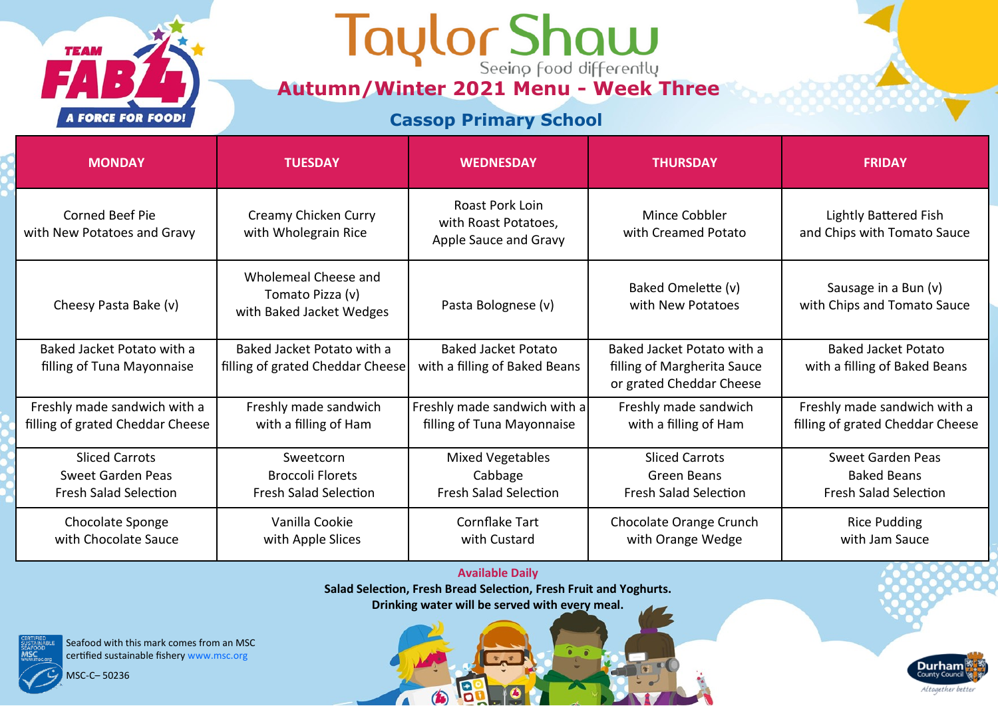# **Autumn/Winter 2021 Menu - Week Three**

### **Cassop Primary School**

| <b>MONDAY</b>                                            | <b>TUESDAY</b>                                                       | <b>WEDNESDAY</b>                                                 | <b>THURSDAY</b>                                           | <b>FRIDAY</b>                                               |
|----------------------------------------------------------|----------------------------------------------------------------------|------------------------------------------------------------------|-----------------------------------------------------------|-------------------------------------------------------------|
| Corned Beef Pie<br>with New Potatoes and Gravy           | Creamy Chicken Curry<br>with Wholegrain Rice                         | Roast Pork Loin<br>with Roast Potatoes,<br>Apple Sauce and Gravy | Mince Cobbler<br>with Creamed Potato                      | <b>Lightly Battered Fish</b><br>and Chips with Tomato Sauce |
| Cheesy Pasta Bake (v)                                    | Wholemeal Cheese and<br>Tomato Pizza (v)<br>with Baked Jacket Wedges | Pasta Bolognese (v)                                              | Baked Omelette (v)<br>with New Potatoes                   | Sausage in a Bun (v)<br>with Chips and Tomato Sauce         |
| Baked Jacket Potato with a<br>filling of Tuna Mayonnaise | Baked Jacket Potato with a<br>filling of grated Cheddar Cheese       | <b>Baked Jacket Potato</b><br>with a filling of Baked Beans      | Baked Jacket Potato with a<br>filling of Margherita Sauce | <b>Baked Jacket Potato</b><br>with a filling of Baked Beans |
|                                                          |                                                                      |                                                                  | or grated Cheddar Cheese                                  |                                                             |
| Freshly made sandwich with a                             | Freshly made sandwich                                                | Freshly made sandwich with a                                     | Freshly made sandwich                                     | Freshly made sandwich with a                                |
| filling of grated Cheddar Cheese                         | with a filling of Ham                                                | filling of Tuna Mayonnaise                                       | with a filling of Ham                                     | filling of grated Cheddar Cheese                            |
| <b>Sliced Carrots</b>                                    | Sweetcorn                                                            | <b>Mixed Vegetables</b>                                          | <b>Sliced Carrots</b>                                     | Sweet Garden Peas                                           |
| Sweet Garden Peas                                        | <b>Broccoli Florets</b>                                              | Cabbage<br><b>Fresh Salad Selection</b>                          | Green Beans                                               | <b>Baked Beans</b>                                          |
| <b>Fresh Salad Selection</b>                             | <b>Fresh Salad Selection</b>                                         |                                                                  | <b>Fresh Salad Selection</b>                              | <b>Fresh Salad Selection</b>                                |
| Chocolate Sponge<br>with Chocolate Sauce                 | Vanilla Cookie                                                       | Cornflake Tart<br>with Custard                                   | Chocolate Orange Crunch                                   | <b>Rice Pudding</b><br>with Jam Sauce                       |
|                                                          | with Apple Slices                                                    |                                                                  | with Orange Wedge                                         |                                                             |

#### **Available Daily**

**Salad Selection, Fresh Bread Selection, Fresh Fruit and Yoghurts.**

**Drinking water will be served with every meal.** 

19

 $\bigcirc$ 

 $\sqrt{2}$ 



Seafood with this mark comes from an MSC certified sustainable fishery www.msc.org

MSC-C– 50236

**TEAM** 

**A FORCE FOR FOOD!**